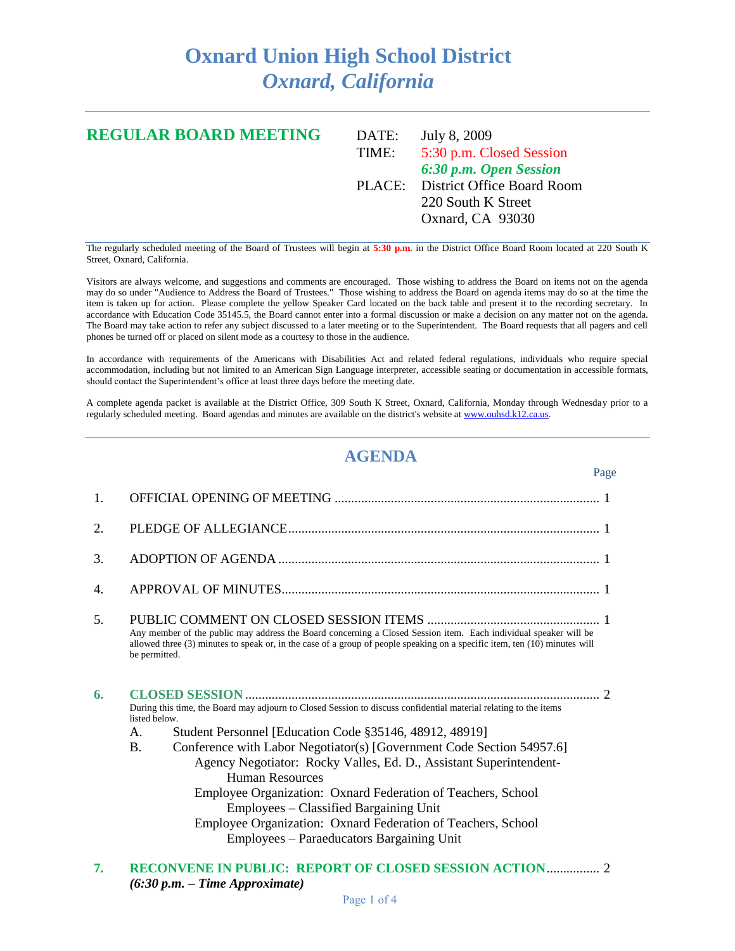## **Oxnard Union High School District** *Oxnard, California*

| <b>REGULAR BOARD MEETING</b> | DATE: | July 8, 2009                      |
|------------------------------|-------|-----------------------------------|
|                              | TIME: | 5:30 p.m. Closed Session          |
|                              |       | 6:30 p.m. Open Session            |
|                              |       | PLACE: District Office Board Room |
|                              |       | 220 South K Street                |
|                              |       | Oxnard, CA 93030                  |
|                              |       |                                   |

The regularly scheduled meeting of the Board of Trustees will begin at **5:30 p.m.** in the District Office Board Room located at 220 South K Street, Oxnard, California.

Visitors are always welcome, and suggestions and comments are encouraged. Those wishing to address the Board on items not on the agenda may do so under "Audience to Address the Board of Trustees." Those wishing to address the Board on agenda items may do so at the time the item is taken up for action. Please complete the yellow Speaker Card located on the back table and present it to the recording secretary. In accordance with Education Code 35145.5, the Board cannot enter into a formal discussion or make a decision on any matter not on the agenda. The Board may take action to refer any subject discussed to a later meeting or to the Superintendent. The Board requests that all pagers and cell phones be turned off or placed on silent mode as a courtesy to those in the audience.

In accordance with requirements of the Americans with Disabilities Act and related federal regulations, individuals who require special accommodation, including but not limited to an American Sign Language interpreter, accessible seating or documentation in accessible formats, should contact the Superintendent's office at least three days before the meeting date.

A complete agenda packet is available at the District Office, 309 South K Street, Oxnard, California, Monday through Wednesday prior to a regularly scheduled meeting. Board agendas and minutes are available on the district's website a[t www.ouhsd.k12.ca.us.](http://www.ouhsd.k12.ca.us/)

## **AGENDA**

|                | Page                                                                                                                                                                                                                                                                                                                                                                                                                                                                                                                                                                                                                                  |  |
|----------------|---------------------------------------------------------------------------------------------------------------------------------------------------------------------------------------------------------------------------------------------------------------------------------------------------------------------------------------------------------------------------------------------------------------------------------------------------------------------------------------------------------------------------------------------------------------------------------------------------------------------------------------|--|
| $\mathbf{1}$ . |                                                                                                                                                                                                                                                                                                                                                                                                                                                                                                                                                                                                                                       |  |
| 2.             |                                                                                                                                                                                                                                                                                                                                                                                                                                                                                                                                                                                                                                       |  |
| 3.             |                                                                                                                                                                                                                                                                                                                                                                                                                                                                                                                                                                                                                                       |  |
| 4.             |                                                                                                                                                                                                                                                                                                                                                                                                                                                                                                                                                                                                                                       |  |
| 5.             | Any member of the public may address the Board concerning a Closed Session item. Each individual speaker will be<br>allowed three (3) minutes to speak or, in the case of a group of people speaking on a specific item, ten (10) minutes will<br>be permitted.                                                                                                                                                                                                                                                                                                                                                                       |  |
| 6.             | $\mathcal{D}$<br>During this time, the Board may adjourn to Closed Session to discuss confidential material relating to the items<br>listed below.<br>Student Personnel [Education Code §35146, 48912, 48919]<br>A.<br>Conference with Labor Negotiator(s) [Government Code Section 54957.6]<br>$\mathbf{B}$ .<br>Agency Negotiator: Rocky Valles, Ed. D., Assistant Superintendent-<br><b>Human Resources</b><br>Employee Organization: Oxnard Federation of Teachers, School<br>Employees – Classified Bargaining Unit<br>Employee Organization: Oxnard Federation of Teachers, School<br>Employees – Paraeducators Bargaining Unit |  |

**7. RECONVENE IN PUBLIC: REPORT OF CLOSED SESSION ACTION**................ 2 *(6:30 p.m. – Time Approximate)*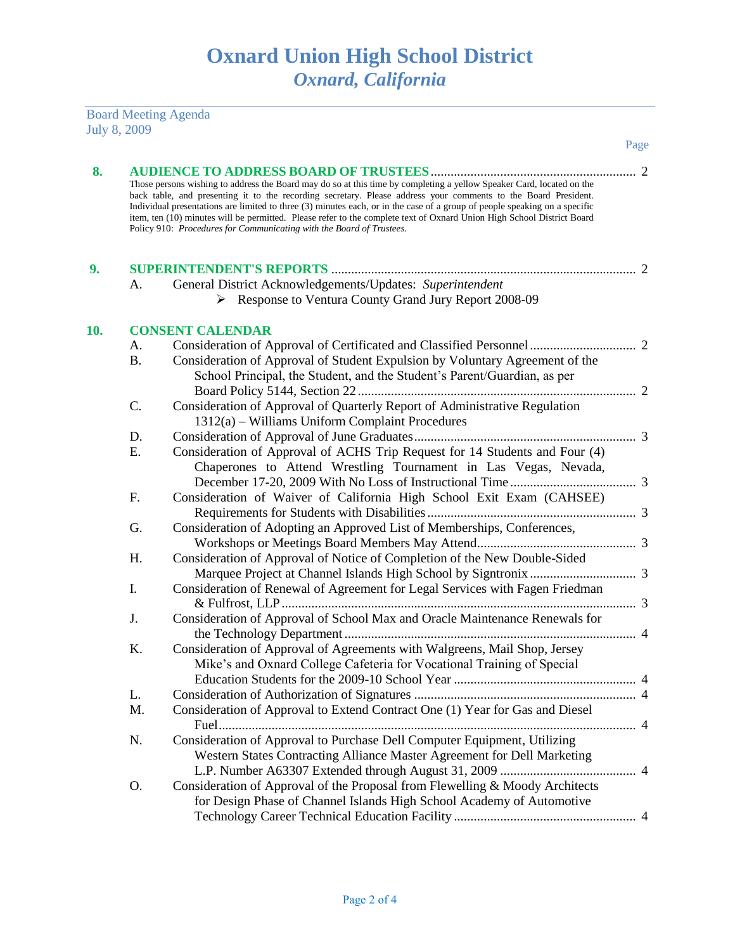Board Meeting Agenda July 8, 2009

|     |           |                                                                                                                                                                                                                                                                                                                                                                                                                                                                                                                                                                         | Page |
|-----|-----------|-------------------------------------------------------------------------------------------------------------------------------------------------------------------------------------------------------------------------------------------------------------------------------------------------------------------------------------------------------------------------------------------------------------------------------------------------------------------------------------------------------------------------------------------------------------------------|------|
| 8.  |           |                                                                                                                                                                                                                                                                                                                                                                                                                                                                                                                                                                         |      |
|     |           | Those persons wishing to address the Board may do so at this time by completing a yellow Speaker Card, located on the<br>back table, and presenting it to the recording secretary. Please address your comments to the Board President.<br>Individual presentations are limited to three (3) minutes each, or in the case of a group of people speaking on a specific<br>item, ten (10) minutes will be permitted. Please refer to the complete text of Oxnard Union High School District Board<br>Policy 910: Procedures for Communicating with the Board of Trustees. |      |
| 9.  |           |                                                                                                                                                                                                                                                                                                                                                                                                                                                                                                                                                                         |      |
|     | А.        | General District Acknowledgements/Updates: Superintendent                                                                                                                                                                                                                                                                                                                                                                                                                                                                                                               |      |
|     |           | Response to Ventura County Grand Jury Report 2008-09                                                                                                                                                                                                                                                                                                                                                                                                                                                                                                                    |      |
| 10. |           | <b>CONSENT CALENDAR</b>                                                                                                                                                                                                                                                                                                                                                                                                                                                                                                                                                 |      |
|     | А.        |                                                                                                                                                                                                                                                                                                                                                                                                                                                                                                                                                                         |      |
|     | <b>B.</b> | Consideration of Approval of Student Expulsion by Voluntary Agreement of the                                                                                                                                                                                                                                                                                                                                                                                                                                                                                            |      |
|     |           | School Principal, the Student, and the Student's Parent/Guardian, as per                                                                                                                                                                                                                                                                                                                                                                                                                                                                                                |      |
|     |           |                                                                                                                                                                                                                                                                                                                                                                                                                                                                                                                                                                         |      |
|     | C.        | Consideration of Approval of Quarterly Report of Administrative Regulation                                                                                                                                                                                                                                                                                                                                                                                                                                                                                              |      |
|     |           | 1312(a) - Williams Uniform Complaint Procedures                                                                                                                                                                                                                                                                                                                                                                                                                                                                                                                         |      |
|     | D.<br>Ε.  |                                                                                                                                                                                                                                                                                                                                                                                                                                                                                                                                                                         |      |
|     |           | Consideration of Approval of ACHS Trip Request for 14 Students and Four (4)<br>Chaperones to Attend Wrestling Tournament in Las Vegas, Nevada,                                                                                                                                                                                                                                                                                                                                                                                                                          |      |
|     |           |                                                                                                                                                                                                                                                                                                                                                                                                                                                                                                                                                                         |      |
|     | F.        | Consideration of Waiver of California High School Exit Exam (CAHSEE)                                                                                                                                                                                                                                                                                                                                                                                                                                                                                                    |      |
|     |           |                                                                                                                                                                                                                                                                                                                                                                                                                                                                                                                                                                         |      |
|     | G.        | Consideration of Adopting an Approved List of Memberships, Conferences,                                                                                                                                                                                                                                                                                                                                                                                                                                                                                                 |      |
|     |           |                                                                                                                                                                                                                                                                                                                                                                                                                                                                                                                                                                         |      |
|     | Η.        | Consideration of Approval of Notice of Completion of the New Double-Sided                                                                                                                                                                                                                                                                                                                                                                                                                                                                                               |      |
|     |           |                                                                                                                                                                                                                                                                                                                                                                                                                                                                                                                                                                         |      |
|     | I.        | Consideration of Renewal of Agreement for Legal Services with Fagen Friedman                                                                                                                                                                                                                                                                                                                                                                                                                                                                                            |      |
|     | J.        | Consideration of Approval of School Max and Oracle Maintenance Renewals for                                                                                                                                                                                                                                                                                                                                                                                                                                                                                             |      |
|     |           |                                                                                                                                                                                                                                                                                                                                                                                                                                                                                                                                                                         |      |
|     | K.        | Consideration of Approval of Agreements with Walgreens, Mail Shop, Jersey                                                                                                                                                                                                                                                                                                                                                                                                                                                                                               |      |
|     |           | Mike's and Oxnard College Cafeteria for Vocational Training of Special                                                                                                                                                                                                                                                                                                                                                                                                                                                                                                  |      |
|     |           |                                                                                                                                                                                                                                                                                                                                                                                                                                                                                                                                                                         |      |
|     | L.        |                                                                                                                                                                                                                                                                                                                                                                                                                                                                                                                                                                         |      |
|     | M.        | Consideration of Approval to Extend Contract One (1) Year for Gas and Diesel                                                                                                                                                                                                                                                                                                                                                                                                                                                                                            |      |
|     |           |                                                                                                                                                                                                                                                                                                                                                                                                                                                                                                                                                                         |      |
|     | N.        | Consideration of Approval to Purchase Dell Computer Equipment, Utilizing                                                                                                                                                                                                                                                                                                                                                                                                                                                                                                |      |
|     |           | Western States Contracting Alliance Master Agreement for Dell Marketing                                                                                                                                                                                                                                                                                                                                                                                                                                                                                                 |      |
|     |           |                                                                                                                                                                                                                                                                                                                                                                                                                                                                                                                                                                         |      |
|     | 0.        | Consideration of Approval of the Proposal from Flewelling & Moody Architects                                                                                                                                                                                                                                                                                                                                                                                                                                                                                            |      |
|     |           | for Design Phase of Channel Islands High School Academy of Automotive                                                                                                                                                                                                                                                                                                                                                                                                                                                                                                   |      |
|     |           |                                                                                                                                                                                                                                                                                                                                                                                                                                                                                                                                                                         |      |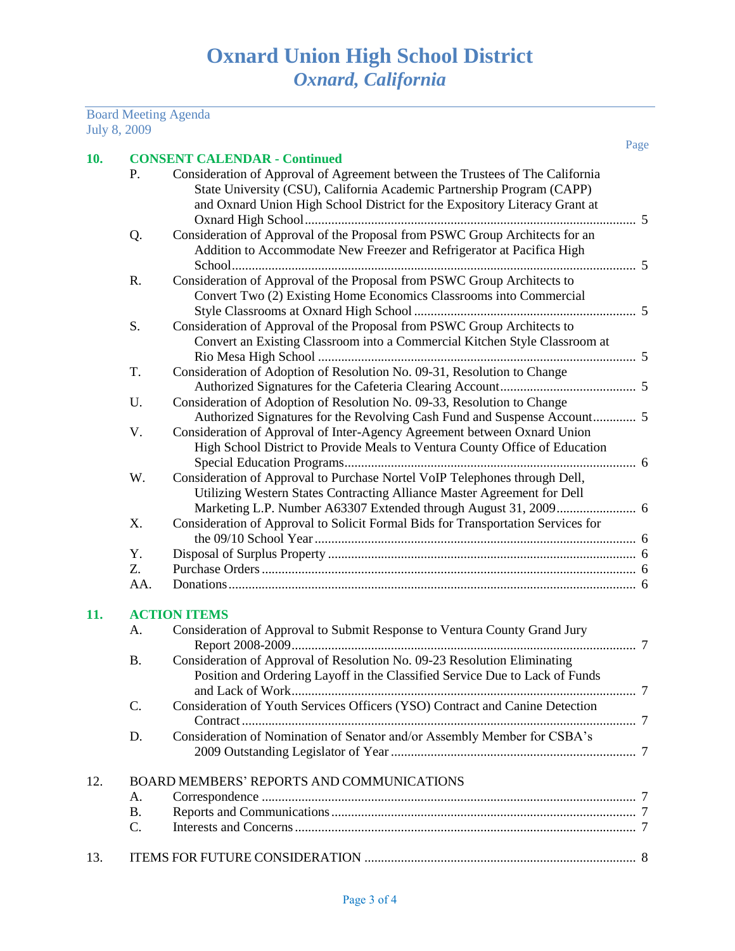Board Meeting Agenda July 8, 2009

| 10. |           | <b>CONSENT CALENDAR - Continued</b>                                              | Page |
|-----|-----------|----------------------------------------------------------------------------------|------|
|     | P.        | Consideration of Approval of Agreement between the Trustees of The California    |      |
|     |           | State University (CSU), California Academic Partnership Program (CAPP)           |      |
|     |           | and Oxnard Union High School District for the Expository Literacy Grant at       |      |
|     |           |                                                                                  |      |
|     |           | Consideration of Approval of the Proposal from PSWC Group Architects for an      |      |
|     | Q.        |                                                                                  |      |
|     |           | Addition to Accommodate New Freezer and Refrigerator at Pacifica High            |      |
|     |           |                                                                                  |      |
|     | R.        | Consideration of Approval of the Proposal from PSWC Group Architects to          |      |
|     |           | Convert Two (2) Existing Home Economics Classrooms into Commercial               |      |
|     |           |                                                                                  |      |
|     | S.        | Consideration of Approval of the Proposal from PSWC Group Architects to          |      |
|     |           | Convert an Existing Classroom into a Commercial Kitchen Style Classroom at       |      |
|     |           |                                                                                  |      |
|     | T.        | Consideration of Adoption of Resolution No. 09-31, Resolution to Change          |      |
|     |           |                                                                                  |      |
|     | U.        | Consideration of Adoption of Resolution No. 09-33, Resolution to Change          |      |
|     |           | Authorized Signatures for the Revolving Cash Fund and Suspense Account 5         |      |
|     | V.        | Consideration of Approval of Inter-Agency Agreement between Oxnard Union         |      |
|     |           | High School District to Provide Meals to Ventura County Office of Education      |      |
|     |           |                                                                                  |      |
|     | W.        | Consideration of Approval to Purchase Nortel VoIP Telephones through Dell,       |      |
|     |           | Utilizing Western States Contracting Alliance Master Agreement for Dell          |      |
|     |           |                                                                                  |      |
|     | X.        | Consideration of Approval to Solicit Formal Bids for Transportation Services for |      |
|     | Y.        |                                                                                  |      |
|     | Z.        |                                                                                  |      |
|     | AA.       |                                                                                  |      |
| 11. |           | <b>ACTION ITEMS</b>                                                              |      |
|     | А.        | Consideration of Approval to Submit Response to Ventura County Grand Jury        |      |
|     |           |                                                                                  |      |
|     | <b>B.</b> | Consideration of Approval of Resolution No. 09-23 Resolution Eliminating         |      |
|     |           | Position and Ordering Layoff in the Classified Service Due to Lack of Funds      |      |
|     |           |                                                                                  |      |
|     | C.        | Consideration of Youth Services Officers (YSO) Contract and Canine Detection     |      |
|     |           |                                                                                  |      |
|     | D.        | Consideration of Nomination of Senator and/or Assembly Member for CSBA's         |      |
|     |           |                                                                                  |      |
| 12. |           | <b>BOARD MEMBERS' REPORTS AND COMMUNICATIONS</b>                                 |      |
|     | А.        |                                                                                  |      |
|     | <b>B.</b> |                                                                                  |      |
|     | C.        |                                                                                  |      |
|     |           |                                                                                  |      |
| 13. |           |                                                                                  |      |